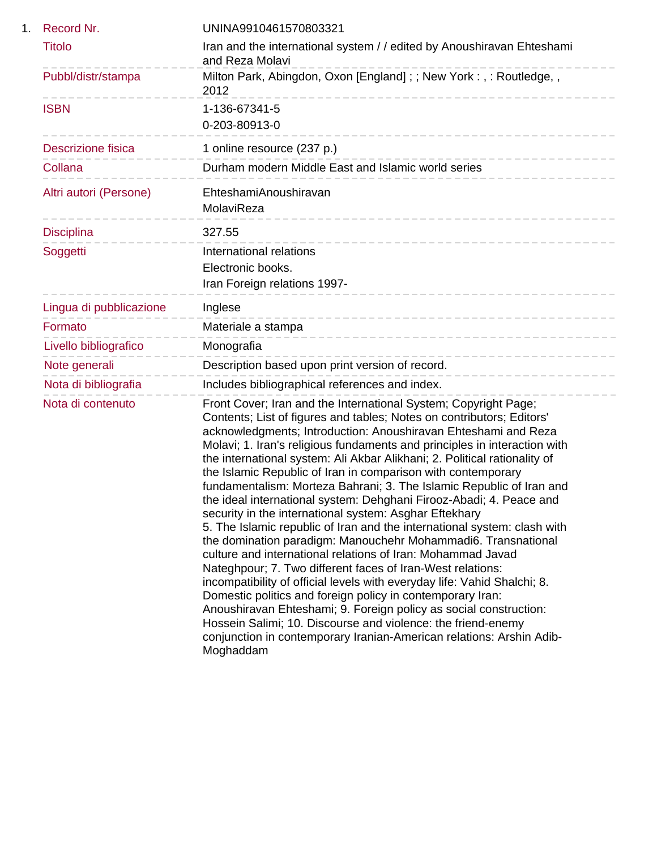| 1. | Record Nr.                | UNINA9910461570803321                                                                                                                                                                                                                                                                                                                                                                                                                                                                                                                                                                                                                                                                                                                                                                                                                                                                                                                                                                                                                                                                                                                                                                                                                                                                       |
|----|---------------------------|---------------------------------------------------------------------------------------------------------------------------------------------------------------------------------------------------------------------------------------------------------------------------------------------------------------------------------------------------------------------------------------------------------------------------------------------------------------------------------------------------------------------------------------------------------------------------------------------------------------------------------------------------------------------------------------------------------------------------------------------------------------------------------------------------------------------------------------------------------------------------------------------------------------------------------------------------------------------------------------------------------------------------------------------------------------------------------------------------------------------------------------------------------------------------------------------------------------------------------------------------------------------------------------------|
|    | <b>Titolo</b>             | Iran and the international system // edited by Anoushiravan Ehteshami<br>and Reza Molavi                                                                                                                                                                                                                                                                                                                                                                                                                                                                                                                                                                                                                                                                                                                                                                                                                                                                                                                                                                                                                                                                                                                                                                                                    |
|    | Pubbl/distr/stampa        | Milton Park, Abingdon, Oxon [England]; ; New York:, : Routledge,,<br>2012                                                                                                                                                                                                                                                                                                                                                                                                                                                                                                                                                                                                                                                                                                                                                                                                                                                                                                                                                                                                                                                                                                                                                                                                                   |
|    | <b>ISBN</b>               | 1-136-67341-5<br>0-203-80913-0                                                                                                                                                                                                                                                                                                                                                                                                                                                                                                                                                                                                                                                                                                                                                                                                                                                                                                                                                                                                                                                                                                                                                                                                                                                              |
|    | <b>Descrizione fisica</b> | 1 online resource (237 p.)                                                                                                                                                                                                                                                                                                                                                                                                                                                                                                                                                                                                                                                                                                                                                                                                                                                                                                                                                                                                                                                                                                                                                                                                                                                                  |
|    | Collana                   | Durham modern Middle East and Islamic world series                                                                                                                                                                                                                                                                                                                                                                                                                                                                                                                                                                                                                                                                                                                                                                                                                                                                                                                                                                                                                                                                                                                                                                                                                                          |
|    | Altri autori (Persone)    | EhteshamiAnoushiravan<br>MolaviReza<br>-----------------                                                                                                                                                                                                                                                                                                                                                                                                                                                                                                                                                                                                                                                                                                                                                                                                                                                                                                                                                                                                                                                                                                                                                                                                                                    |
|    | <b>Disciplina</b>         | 327.55                                                                                                                                                                                                                                                                                                                                                                                                                                                                                                                                                                                                                                                                                                                                                                                                                                                                                                                                                                                                                                                                                                                                                                                                                                                                                      |
|    | Soggetti                  | International relations<br>Electronic books.<br>Iran Foreign relations 1997-                                                                                                                                                                                                                                                                                                                                                                                                                                                                                                                                                                                                                                                                                                                                                                                                                                                                                                                                                                                                                                                                                                                                                                                                                |
|    | Lingua di pubblicazione   | Inglese                                                                                                                                                                                                                                                                                                                                                                                                                                                                                                                                                                                                                                                                                                                                                                                                                                                                                                                                                                                                                                                                                                                                                                                                                                                                                     |
|    | Formato                   | ----------------------------------<br>Materiale a stampa                                                                                                                                                                                                                                                                                                                                                                                                                                                                                                                                                                                                                                                                                                                                                                                                                                                                                                                                                                                                                                                                                                                                                                                                                                    |
|    | Livello bibliografico     | _______________________________<br>Monografia                                                                                                                                                                                                                                                                                                                                                                                                                                                                                                                                                                                                                                                                                                                                                                                                                                                                                                                                                                                                                                                                                                                                                                                                                                               |
|    | Note generali             | Description based upon print version of record.<br>-----------------                                                                                                                                                                                                                                                                                                                                                                                                                                                                                                                                                                                                                                                                                                                                                                                                                                                                                                                                                                                                                                                                                                                                                                                                                        |
|    | Nota di bibliografia      | Includes bibliographical references and index.                                                                                                                                                                                                                                                                                                                                                                                                                                                                                                                                                                                                                                                                                                                                                                                                                                                                                                                                                                                                                                                                                                                                                                                                                                              |
|    | Nota di contenuto         | Front Cover; Iran and the International System; Copyright Page;<br>Contents; List of figures and tables; Notes on contributors; Editors'<br>acknowledgments; Introduction: Anoushiravan Ehteshami and Reza<br>Molavi; 1. Iran's religious fundaments and principles in interaction with<br>the international system: Ali Akbar Alikhani; 2. Political rationality of<br>the Islamic Republic of Iran in comparison with contemporary<br>fundamentalism: Morteza Bahrani; 3. The Islamic Republic of Iran and<br>the ideal international system: Dehghani Firooz-Abadi; 4. Peace and<br>security in the international system: Asghar Eftekhary<br>5. The Islamic republic of Iran and the international system: clash with<br>the domination paradigm: Manouchehr Mohammadi6. Transnational<br>culture and international relations of Iran: Mohammad Javad<br>Nateghpour; 7. Two different faces of Iran-West relations:<br>incompatibility of official levels with everyday life: Vahid Shalchi; 8.<br>Domestic politics and foreign policy in contemporary Iran:<br>Anoushiravan Ehteshami; 9. Foreign policy as social construction:<br>Hossein Salimi; 10. Discourse and violence: the friend-enemy<br>conjunction in contemporary Iranian-American relations: Arshin Adib-<br>Moghaddam |